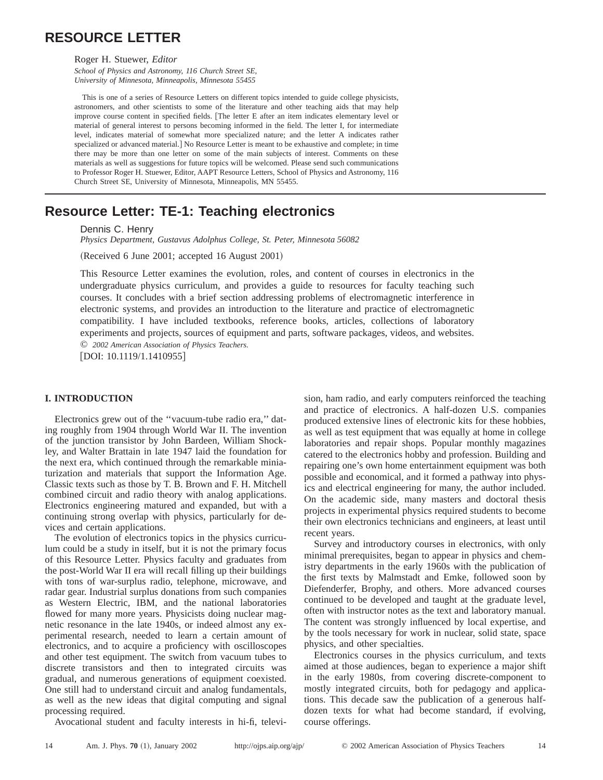# **RESOURCE LETTER**

Roger H. Stuewer, *Editor*

*School of Physics and Astronomy, 116 Church Street SE, University of Minnesota, Minneapolis, Minnesota 55455*

This is one of a series of Resource Letters on different topics intended to guide college physicists, astronomers, and other scientists to some of the literature and other teaching aids that may help improve course content in specified fields. The letter E after an item indicates elementary level or material of general interest to persons becoming informed in the field. The letter I, for intermediate level, indicates material of somewhat more specialized nature; and the letter A indicates rather specialized or advanced material.] No Resource Letter is meant to be exhaustive and complete; in time there may be more than one letter on some of the main subjects of interest. Comments on these materials as well as suggestions for future topics will be welcomed. Please send such communications to Professor Roger H. Stuewer, Editor, AAPT Resource Letters, School of Physics and Astronomy, 116 Church Street SE, University of Minnesota, Minneapolis, MN 55455.

# **Resource Letter: TE-1: Teaching electronics**

Dennis C. Henry

*Physics Department, Gustavus Adolphus College, St. Peter, Minnesota 56082*

 $(Received 6 June 2001; accepted 16 August 2001)$ 

This Resource Letter examines the evolution, roles, and content of courses in electronics in the undergraduate physics curriculum, and provides a guide to resources for faculty teaching such courses. It concludes with a brief section addressing problems of electromagnetic interference in electronic systems, and provides an introduction to the literature and practice of electromagnetic compatibility. I have included textbooks, reference books, articles, collections of laboratory experiments and projects, sources of equipment and parts, software packages, videos, and websites.

© *2002 American Association of Physics Teachers.*  $[DOI: 10.1119/1.1410955]$ 

# **I. INTRODUCTION**

Electronics grew out of the ''vacuum-tube radio era,'' dating roughly from 1904 through World War II. The invention of the junction transistor by John Bardeen, William Shockley, and Walter Brattain in late 1947 laid the foundation for the next era, which continued through the remarkable miniaturization and materials that support the Information Age. Classic texts such as those by T. B. Brown and F. H. Mitchell combined circuit and radio theory with analog applications. Electronics engineering matured and expanded, but with a continuing strong overlap with physics, particularly for devices and certain applications.

The evolution of electronics topics in the physics curriculum could be a study in itself, but it is not the primary focus of this Resource Letter. Physics faculty and graduates from the post-World War II era will recall filling up their buildings with tons of war-surplus radio, telephone, microwave, and radar gear. Industrial surplus donations from such companies as Western Electric, IBM, and the national laboratories flowed for many more years. Physicists doing nuclear magnetic resonance in the late 1940s, or indeed almost any experimental research, needed to learn a certain amount of electronics, and to acquire a proficiency with oscilloscopes and other test equipment. The switch from vacuum tubes to discrete transistors and then to integrated circuits was gradual, and numerous generations of equipment coexisted. One still had to understand circuit and analog fundamentals, as well as the new ideas that digital computing and signal processing required.

Avocational student and faculty interests in hi-fi, televi-

sion, ham radio, and early computers reinforced the teaching and practice of electronics. A half-dozen U.S. companies produced extensive lines of electronic kits for these hobbies, as well as test equipment that was equally at home in college laboratories and repair shops. Popular monthly magazines catered to the electronics hobby and profession. Building and repairing one's own home entertainment equipment was both possible and economical, and it formed a pathway into physics and electrical engineering for many, the author included. On the academic side, many masters and doctoral thesis projects in experimental physics required students to become their own electronics technicians and engineers, at least until recent years.

Survey and introductory courses in electronics, with only minimal prerequisites, began to appear in physics and chemistry departments in the early 1960s with the publication of the first texts by Malmstadt and Emke, followed soon by Diefenderfer, Brophy, and others. More advanced courses continued to be developed and taught at the graduate level, often with instructor notes as the text and laboratory manual. The content was strongly influenced by local expertise, and by the tools necessary for work in nuclear, solid state, space physics, and other specialties.

Electronics courses in the physics curriculum, and texts aimed at those audiences, began to experience a major shift in the early 1980s, from covering discrete-component to mostly integrated circuits, both for pedagogy and applications. This decade saw the publication of a generous halfdozen texts for what had become standard, if evolving, course offerings.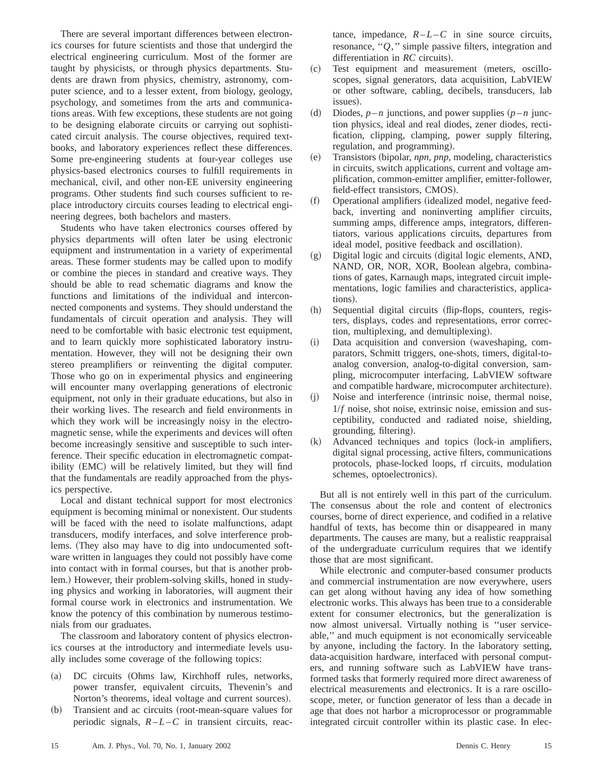There are several important differences between electronics courses for future scientists and those that undergird the electrical engineering curriculum. Most of the former are taught by physicists, or through physics departments. Students are drawn from physics, chemistry, astronomy, computer science, and to a lesser extent, from biology, geology, psychology, and sometimes from the arts and communications areas. With few exceptions, these students are not going to be designing elaborate circuits or carrying out sophisticated circuit analysis. The course objectives, required textbooks, and laboratory experiences reflect these differences. Some pre-engineering students at four-year colleges use physics-based electronics courses to fulfill requirements in mechanical, civil, and other non-EE university engineering programs. Other students find such courses sufficient to replace introductory circuits courses leading to electrical engineering degrees, both bachelors and masters.

Students who have taken electronics courses offered by physics departments will often later be using electronic equipment and instrumentation in a variety of experimental areas. These former students may be called upon to modify or combine the pieces in standard and creative ways. They should be able to read schematic diagrams and know the functions and limitations of the individual and interconnected components and systems. They should understand the fundamentals of circuit operation and analysis. They will need to be comfortable with basic electronic test equipment, and to learn quickly more sophisticated laboratory instrumentation. However, they will not be designing their own stereo preamplifiers or reinventing the digital computer. Those who go on in experimental physics and engineering will encounter many overlapping generations of electronic equipment, not only in their graduate educations, but also in their working lives. The research and field environments in which they work will be increasingly noisy in the electromagnetic sense, while the experiments and devices will often become increasingly sensitive and susceptible to such interference. Their specific education in electromagnetic compatibility (EMC) will be relatively limited, but they will find that the fundamentals are readily approached from the physics perspective.

Local and distant technical support for most electronics equipment is becoming minimal or nonexistent. Our students will be faced with the need to isolate malfunctions, adapt transducers, modify interfaces, and solve interference problems. (They also may have to dig into undocumented software written in languages they could not possibly have come into contact with in formal courses, but that is another problem.) However, their problem-solving skills, honed in studying physics and working in laboratories, will augment their formal course work in electronics and instrumentation. We know the potency of this combination by numerous testimonials from our graduates.

The classroom and laboratory content of physics electronics courses at the introductory and intermediate levels usually includes some coverage of the following topics:

- (a) DC circuits (Ohms law, Kirchhoff rules, networks, power transfer, equivalent circuits, Thevenin's and Norton's theorems, ideal voltage and current sources).
- (b) Transient and ac circuits (root-mean-square values for periodic signals,  $R-L-C$  in transient circuits, reac-

tance, impedance,  $R-L-C$  in sine source circuits, resonance, "*Q*," simple passive filters, integration and differentiation in *RC* circuits).

- (c) Test equipment and measurement (meters, oscilloscopes, signal generators, data acquisition, LabVIEW or other software, cabling, decibels, transducers, lab issues).
- (d) Diodes,  $p n$  junctions, and power supplies  $(p n)$  junction physics, ideal and real diodes, zener diodes, rectification, clipping, clamping, power supply filtering, regulation, and programming).
- (e) Transistors (bipolar, *npn, pnp*, modeling, characteristics in circuits, switch applications, current and voltage amplification, common-emitter amplifier, emitter-follower, field-effect transistors, CMOS).
- (f) Operational amplifiers (idealized model, negative feedback, inverting and noninverting amplifier circuits, summing amps, difference amps, integrators, differentiators, various applications circuits, departures from ideal model, positive feedback and oscillation).
- (g) Digital logic and circuits (digital logic elements, AND, NAND, OR, NOR, XOR, Boolean algebra, combinations of gates, Karnaugh maps, integrated circuit implementations, logic families and characteristics, applications).
- (h) Sequential digital circuits (flip-flops, counters, registers, displays, codes and representations, error correction, multiplexing, and demultiplexing).
- $(i)$  Data acquisition and conversion (waveshaping, comparators, Schmitt triggers, one-shots, timers, digital-toanalog conversion, analog-to-digital conversion, sampling, microcomputer interfacing, LabVIEW software and compatible hardware, microcomputer architecture).
- (i) Noise and interference (intrinsic noise, thermal noise, 1/*f* noise, shot noise, extrinsic noise, emission and susceptibility, conducted and radiated noise, shielding, grounding, filtering).
- $(k)$  Advanced techniques and topics  $(lock-in$  amplifiers, digital signal processing, active filters, communications protocols, phase-locked loops, rf circuits, modulation schemes, optoelectronics).

But all is not entirely well in this part of the curriculum. The consensus about the role and content of electronics courses, borne of direct experience, and codified in a relative handful of texts, has become thin or disappeared in many departments. The causes are many, but a realistic reappraisal of the undergraduate curriculum requires that we identify those that are most significant.

While electronic and computer-based consumer products and commercial instrumentation are now everywhere, users can get along without having any idea of how something electronic works. This always has been true to a considerable extent for consumer electronics, but the generalization is now almost universal. Virtually nothing is ''user serviceable,'' and much equipment is not economically serviceable by anyone, including the factory. In the laboratory setting, data-acquisition hardware, interfaced with personal computers, and running software such as LabVIEW have transformed tasks that formerly required more direct awareness of electrical measurements and electronics. It is a rare oscilloscope, meter, or function generator of less than a decade in age that does not harbor a microprocessor or programmable integrated circuit controller within its plastic case. In elec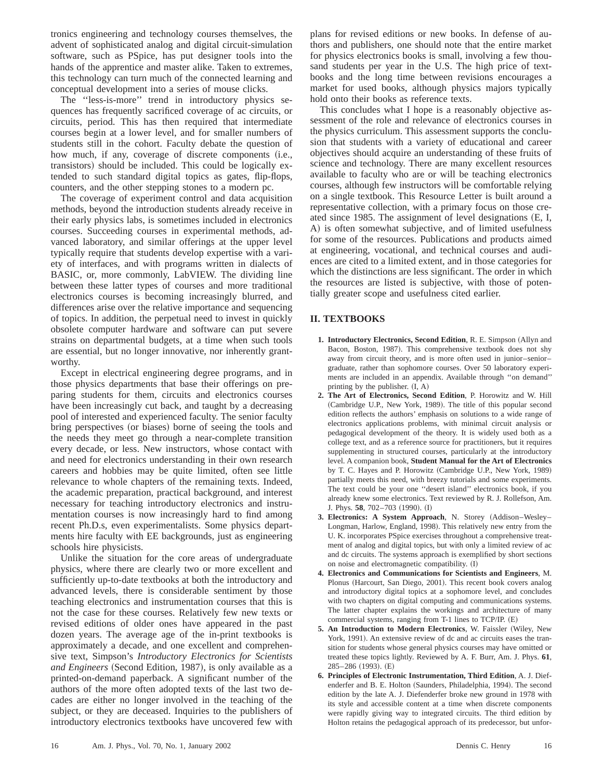tronics engineering and technology courses themselves, the advent of sophisticated analog and digital circuit-simulation software, such as PSpice, has put designer tools into the hands of the apprentice and master alike. Taken to extremes, this technology can turn much of the connected learning and conceptual development into a series of mouse clicks.

The ''less-is-more'' trend in introductory physics sequences has frequently sacrificed coverage of ac circuits, or circuits, period. This has then required that intermediate courses begin at a lower level, and for smaller numbers of students still in the cohort. Faculty debate the question of how much, if any, coverage of discrete components (i.e., transistors) should be included. This could be logically extended to such standard digital topics as gates, flip-flops, counters, and the other stepping stones to a modern pc.

The coverage of experiment control and data acquisition methods, beyond the introduction students already receive in their early physics labs, is sometimes included in electronics courses. Succeeding courses in experimental methods, advanced laboratory, and similar offerings at the upper level typically require that students develop expertise with a variety of interfaces, and with programs written in dialects of BASIC, or, more commonly, LabVIEW. The dividing line between these latter types of courses and more traditional electronics courses is becoming increasingly blurred, and differences arise over the relative importance and sequencing of topics. In addition, the perpetual need to invest in quickly obsolete computer hardware and software can put severe strains on departmental budgets, at a time when such tools are essential, but no longer innovative, nor inherently grantworthy.

Except in electrical engineering degree programs, and in those physics departments that base their offerings on preparing students for them, circuits and electronics courses have been increasingly cut back, and taught by a decreasing pool of interested and experienced faculty. The senior faculty bring perspectives (or biases) borne of seeing the tools and the needs they meet go through a near-complete transition every decade, or less. New instructors, whose contact with and need for electronics understanding in their own research careers and hobbies may be quite limited, often see little relevance to whole chapters of the remaining texts. Indeed, the academic preparation, practical background, and interest necessary for teaching introductory electronics and instrumentation courses is now increasingly hard to find among recent Ph.D.s, even experimentalists. Some physics departments hire faculty with EE backgrounds, just as engineering schools hire physicists.

Unlike the situation for the core areas of undergraduate physics, where there are clearly two or more excellent and sufficiently up-to-date textbooks at both the introductory and advanced levels, there is considerable sentiment by those teaching electronics and instrumentation courses that this is not the case for these courses. Relatively few new texts or revised editions of older ones have appeared in the past dozen years. The average age of the in-print textbooks is approximately a decade, and one excellent and comprehensive text, Simpson's *Introductory Electronics for Scientists and Engineers* (Second Edition, 1987), is only available as a printed-on-demand paperback. A significant number of the authors of the more often adopted texts of the last two decades are either no longer involved in the teaching of the subject, or they are deceased. Inquiries to the publishers of introductory electronics textbooks have uncovered few with plans for revised editions or new books. In defense of authors and publishers, one should note that the entire market for physics electronics books is small, involving a few thousand students per year in the U.S. The high price of textbooks and the long time between revisions encourages a market for used books, although physics majors typically hold onto their books as reference texts.

This concludes what I hope is a reasonably objective assessment of the role and relevance of electronics courses in the physics curriculum. This assessment supports the conclusion that students with a variety of educational and career objectives should acquire an understanding of these fruits of science and technology. There are many excellent resources available to faculty who are or will be teaching electronics courses, although few instructors will be comfortable relying on a single textbook. This Resource Letter is built around a representative collection, with a primary focus on those created since 1985. The assignment of level designations  $(E, I, I)$ A) is often somewhat subjective, and of limited usefulness for some of the resources. Publications and products aimed at engineering, vocational, and technical courses and audiences are cited to a limited extent, and in those categories for which the distinctions are less significant. The order in which the resources are listed is subjective, with those of potentially greater scope and usefulness cited earlier.

# **II. TEXTBOOKS**

- 1. Introductory Electronics, Second Edition, R. E. Simpson (Allyn and Bacon, Boston, 1987). This comprehensive textbook does not shy away from circuit theory, and is more often used in junior–senior– graduate, rather than sophomore courses. Over 50 laboratory experiments are included in an appendix. Available through ''on demand'' printing by the publisher.  $(I, A)$
- **2. The Art of Electronics, Second Edition**, P. Horowitz and W. Hill (Cambridge U.P., New York, 1989). The title of this popular second edition reflects the authors' emphasis on solutions to a wide range of electronics applications problems, with minimal circuit analysis or pedagogical development of the theory. It is widely used both as a college text, and as a reference source for practitioners, but it requires supplementing in structured courses, particularly at the introductory level. A companion book, **Student Manual for the Art of Electronics** by T. C. Hayes and P. Horowitz (Cambridge U.P., New York, 1989) partially meets this need, with breezy tutorials and some experiments. The text could be your one ''desert island'' electronics book, if you already knew some electronics. Text reviewed by R. J. Rollefson, Am. J. Phys. 58, 702-703 (1990). (I)
- 3. Electronics: A System Approach, N. Storey (Addison–Wesley– Longman, Harlow, England, 1998). This relatively new entry from the U. K. incorporates PSpice exercises throughout a comprehensive treatment of analog and digital topics, but with only a limited review of ac and dc circuits. The systems approach is exemplified by short sections on noise and electromagnetic compatibility. (I)
- **4. Electronics and Communications for Scientists and Engineers**, M. Plonus (Harcourt, San Diego, 2001). This recent book covers analog and introductory digital topics at a sophomore level, and concludes with two chapters on digital computing and communications systems. The latter chapter explains the workings and architecture of many commercial systems, ranging from T-1 lines to TCP/IP.  $(E)$
- 5. An Introduction to Modern Electronics, W. Faissler (Wiley, New York, 1991). An extensive review of dc and ac circuits eases the transition for students whose general physics courses may have omitted or treated these topics lightly. Reviewed by A. F. Burr, Am. J. Phys. **61**,  $285-286$  (1993). (E)
- **6. Principles of Electronic Instrumentation, Third Edition**, A. J. Diefenderfer and B. E. Holton (Saunders, Philadelphia, 1994). The second edition by the late A. J. Diefenderfer broke new ground in 1978 with its style and accessible content at a time when discrete components were rapidly giving way to integrated circuits. The third edition by Holton retains the pedagogical approach of its predecessor, but unfor-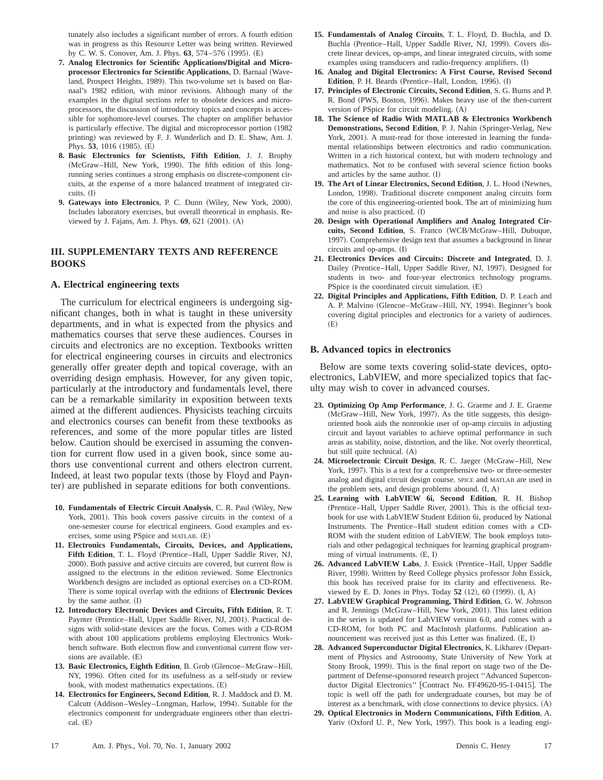tunately also includes a significant number of errors. A fourth edition was in progress as this Resource Letter was being written. Reviewed by C. W. S. Conover, Am. J. Phys. 63, 574–576 (1995). (E)

- **7. Analog Electronics for Scientific ApplicationsÕDigital and Microprocessor Electronics for Scientific Applications**, D. Barnaal (Waveland, Prospect Heights, 1989). This two-volume set is based on Barnaal's 1982 edition, with minor revisions. Although many of the examples in the digital sections refer to obsolete devices and microprocessors, the discussion of introductory topics and concepts is accessible for sophomore-level courses. The chapter on amplifier behavior is particularly effective. The digital and microprocessor portion (1982) printing) was reviewed by F. J. Wunderlich and D. E. Shaw, Am. J. Phys. **53**, 1016 (1985). (E)
- **8. Basic Electronics for Scientists, Fifth Edition**, J. J. Brophy (McGraw–Hill, New York, 1990). The fifth edition of this longrunning series continues a strong emphasis on discrete-component circuits, at the expense of a more balanced treatment of integrated circuits.  $(I)$
- **9. Gateways into Electronics**, P. C. Dunn (Wiley, New York, 2000). Includes laboratory exercises, but overall theoretical in emphasis. Reviewed by J. Fajans, Am. J. Phys. 69, 621 (2001). (A)

# **III. SUPPLEMENTARY TEXTS AND REFERENCE BOOKS**

## **A. Electrical engineering texts**

The curriculum for electrical engineers is undergoing significant changes, both in what is taught in these university departments, and in what is expected from the physics and mathematics courses that serve these audiences. Courses in circuits and electronics are no exception. Textbooks written for electrical engineering courses in circuits and electronics generally offer greater depth and topical coverage, with an overriding design emphasis. However, for any given topic, particularly at the introductory and fundamentals level, there can be a remarkable similarity in exposition between texts aimed at the different audiences. Physicists teaching circuits and electronics courses can benefit from these textbooks as references, and some of the more popular titles are listed below. Caution should be exercised in assuming the convention for current flow used in a given book, since some authors use conventional current and others electron current. Indeed, at least two popular texts (those by Floyd and Paynter) are published in separate editions for both conventions.

- 10. Fundamentals of Electric Circuit Analysis, C. R. Paul (Wiley, New York, 2001). This book covers passive circuits in the context of a one-semester course for electrical engineers. Good examples and exercises, some using PSpice and MATLAB.  $(E)$
- **11. Electronics Fundamentals, Circuits, Devices, and Applications,** Fifth Edition, T. L. Floyd (Prentice–Hall, Upper Saddle River, NJ, 2000). Both passive and active circuits are covered, but current flow is assigned to the electrons in the edition reviewed. Some Electronics Workbench designs are included as optional exercises on a CD-ROM. There is some topical overlap with the editions of **Electronic Devices** by the same author.  $(I)$
- **12. Introductory Electronic Devices and Circuits, Fifth Edition**, R. T. Paynter (Prentice–Hall, Upper Saddle River, NJ, 2001). Practical designs with solid-state devices are the focus. Comes with a CD-ROM with about 100 applications problems employing Electronics Workbench software. Both electron flow and conventional current flow versions are available.  $(E)$
- 13. Basic Electronics, Eighth Edition, B. Grob (Glencoe–McGraw–Hill, NY, 1996). Often cited for its usefulness as a self-study or review book, with modest mathematics expectations. (E)
- **14. Electronics for Engineers, Second Edition**, R. J. Maddock and D. M. Calcutt (Addison–Wesley–Longman, Harlow, 1994). Suitable for the electronics component for undergraduate engineers other than electri $cal. (E)$
- **15. Fundamentals of Analog Circuits**, T. L. Floyd, D. Buchla, and D. Buchla (Prentice–Hall, Upper Saddle River, NJ, 1999). Covers discrete linear devices, op-amps, and linear integrated circuits, with some examples using transducers and radio-frequency amplifiers.  $(I)$
- **16. Analog and Digital Electronics: A First Course, Revised Second** Edition, P. H. Beards (Prentice–Hall, London, 1996).  $(I)$
- **17. Principles of Electronic Circuits, Second Edition**, S. G. Burns and P. R. Bond (PWS, Boston, 1996). Makes heavy use of the then-current version of PSpice for circuit modeling. (A)
- **18. The Science of Radio With MATLAB & Electronics Workbench Demonstrations, Second Edition**, P. J. Nahin (Springer-Verlag, New York, 2001). A must-read for those interested in learning the fundamental relationships between electronics and radio communication. Written in a rich historical context, but with modern technology and mathematics. Not to be confused with several science fiction books and articles by the same author.  $(I)$
- 19. The Art of Linear Electronics, Second Edition, J. L. Hood (Newnes, London, 1998). Traditional discrete component analog circuits form the core of this engineering-oriented book. The art of minimizing hum and noise is also practiced. (I)
- **20. Design with Operational Amplifiers and Analog Integrated Cir**cuits, Second Edition, S. Franco (WCB/McGraw-Hill, Dubuque, 1997). Comprehensive design text that assumes a background in linear circuits and op-amps. (I)
- **21. Electronics Devices and Circuits: Discrete and Integrated**, D. J. Dailey (Prentice–Hall, Upper Saddle River, NJ, 1997). Designed for students in two- and four-year electronics technology programs. PSpice is the coordinated circuit simulation.  $(E)$
- **22. Digital Principles and Applications, Fifth Edition**, D. P. Leach and A. P. Malvino (Glencoe–McGraw–Hill, NY, 1994). Beginner's book covering digital principles and electronics for a variety of audiences.  $(E)$

## **B. Advanced topics in electronics**

Below are some texts covering solid-state devices, optoelectronics, LabVIEW, and more specialized topics that faculty may wish to cover in advanced courses.

- **23. Optimizing Op Amp Performance**, J. G. Graeme and J. E. Graeme (McGraw–Hill, New York, 1997). As the title suggests, this designoriented book aids the nonrookie user of op-amp circuits in adjusting circuit and layout variables to achieve optimal performance in such areas as stability, noise, distortion, and the like. Not overly theoretical, but still quite technical.  $(A)$
- 24. Microelectronic Circuit Design, R. C. Jaeger (McGraw–Hill, New York, 1997). This is a text for a comprehensive two- or three-semester analog and digital circuit design course. SPICE and MATLAB are used in the problem sets, and design problems abound.  $(I, A)$
- **25. Learning with LabVIEW 6i, Second Edition**, R. H. Bishop (Prentice–Hall, Upper Saddle River, 2001). This is the official textbook for use with LabVIEW Student Edition 6i, produced by National Instruments. The Prentice–Hall student edition comes with a CD-ROM with the student edition of LabVIEW. The book employs tutorials and other pedagogical techniques for learning graphical programming of virtual instruments.  $(E, I)$
- 26. Advanced LabVIEW Labs, J. Essick (Prentice–Hall, Upper Saddle River, 1998). Written by Reed College physics professor John Essick, this book has received praise for its clarity and effectiveness. Reviewed by E. D. Jones in Phys. Today  $52$  (12), 60 (1999).  $(I, A)$
- **27. LabVIEW Graphical Programming, Third Edition**, G. W. Johnson and R. Jennings (McGraw–Hill, New York, 2001). This latest edition in the series is updated for LabVIEW version 6.0, and comes with a CD-ROM, for both PC and MacIntosh platforms. Publication announcement was received just as this Letter was finalized. (E, I)
- 28. Advanced Superconductor Digital Electronics, K. Likharev (Department of Physics and Astronomy, State University of New York at Stony Brook, 1999). This is the final report on stage two of the Department of Defense-sponsored research project ''Advanced Superconductor Digital Electronics" [Contract No. FF49620-95-1-0415]. The topic is well off the path for undergraduate courses, but may be of interest as a benchmark, with close connections to device physics.  $(A)$
- **29. Optical Electronics in Modern Communications, Fifth Edition**, A. Yariv (Oxford U. P., New York, 1997). This book is a leading engi-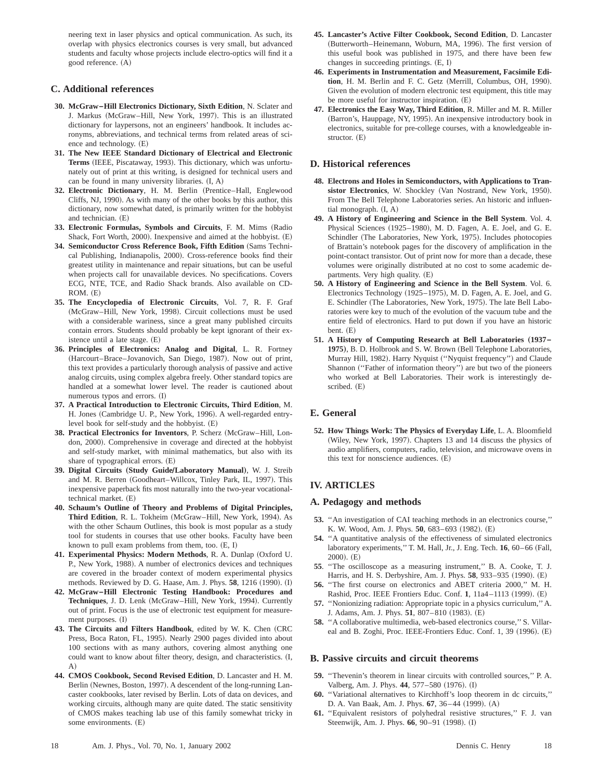neering text in laser physics and optical communication. As such, its overlap with physics electronics courses is very small, but advanced students and faculty whose projects include electro-optics will find it a good reference.  $(A)$ 

## **C. Additional references**

- **30. McGraw–Hill Electronics Dictionary, Sixth Edition**, N. Sclater and J. Markus (McGraw–Hill, New York, 1997). This is an illustrated dictionary for laypersons, not an engineers' handbook. It includes acronyms, abbreviations, and technical terms from related areas of science and technology.  $(E)$
- **31. The New IEEE Standard Dictionary of Electrical and Electronic** Terms (IEEE, Piscataway, 1993). This dictionary, which was unfortunately out of print at this writing, is designed for technical users and can be found in many university libraries.  $(I, A)$
- 32. Electronic Dictionary, H. M. Berlin (Prentice–Hall, Englewood Cliffs, NJ, 1990). As with many of the other books by this author, this dictionary, now somewhat dated, is primarily written for the hobbyist and technician. (E)
- 33. Electronic Formulas, Symbols and Circuits, F. M. Mims (Radio Shack, Fort Worth,  $2000$ ). Inexpensive and aimed at the hobbyist.  $(E)$
- 34. Semiconductor Cross Reference Book, Fifth Edition (Sams Technical Publishing, Indianapolis, 2000). Cross-reference books find their greatest utility in maintenance and repair situations, but can be useful when projects call for unavailable devices. No specifications. Covers ECG, NTE, TCE, and Radio Shack brands. Also available on CD- $ROM. (E)$
- **35. The Encyclopedia of Electronic Circuits**, Vol. 7, R. F. Graf (McGraw–Hill, New York, 1998). Circuit collections must be used with a considerable wariness, since a great many published circuits contain errors. Students should probably be kept ignorant of their existence until a late stage.  $(E)$
- **36. Principles of Electronics: Analog and Digital**, L. R. Fortney (Harcourt–Brace–Jovanovich, San Diego, 1987). Now out of print, this text provides a particularly thorough analysis of passive and active analog circuits, using complex algebra freely. Other standard topics are handled at a somewhat lower level. The reader is cautioned about numerous typos and errors.  $(I)$
- **37. A Practical Introduction to Electronic Circuits, Third Edition**, M. H. Jones (Cambridge U. P., New York, 1996). A well-regarded entrylevel book for self-study and the hobbyist. (E)
- **38. Practical Electronics for Inventors**, P. Scherz (McGraw–Hill, London, 2000). Comprehensive in coverage and directed at the hobbyist and self-study market, with minimal mathematics, but also with its share of typographical errors.  $(E)$
- 39. Digital Circuits (Study Guide/Laboratory Manual), W. J. Streib and M. R. Berren (Goodheart–Willcox, Tinley Park, IL, 1997). This inexpensive paperback fits most naturally into the two-year vocationaltechnical market. (E)
- **40. Schaum's Outline of Theory and Problems of Digital Principles, Third Edition**, R. L. Tokheim (McGraw–Hill, New York, 1994). As with the other Schaum Outlines, this book is most popular as a study tool for students in courses that use other books. Faculty have been known to pull exam problems from them, too.  $(E, I)$
- 41. Experimental Physics: Modern Methods, R. A. Dunlap (Oxford U. P., New York, 1988). A number of electronics devices and techniques are covered in the broader context of modern experimental physics methods. Reviewed by D. G. Haase, Am. J. Phys. **58**, 1216 (1990). (I)
- **42. McGraw–Hill Electronic Testing Handbook: Procedures and Techniques**, J. D. Lenk (McGraw–Hill, New York, 1994). Currently out of print. Focus is the use of electronic test equipment for measurement purposes.  $(I)$
- 43. The Circuits and Filters Handbook, edited by W. K. Chen (CRC Press, Boca Raton, FL, 1995). Nearly 2900 pages divided into about 100 sections with as many authors, covering almost anything one could want to know about filter theory, design, and characteristics. (I, A)
- **44. CMOS Cookbook, Second Revised Edition**, D. Lancaster and H. M. Berlin (Newnes, Boston, 1997). A descendent of the long-running Lancaster cookbooks, later revised by Berlin. Lots of data on devices, and working circuits, although many are quite dated. The static sensitivity of CMOS makes teaching lab use of this family somewhat tricky in some environments. (E)
- **45. Lancaster's Active Filter Cookbook, Second Edition**, D. Lancaster (Butterworth–Heinemann, Woburn, MA, 1996). The first version of this useful book was published in 1975, and there have been few changes in succeeding printings.  $(E, I)$
- **46. Experiments in Instrumentation and Measurement, Facsimile Edi**tion, H. M. Berlin and F. C. Getz (Merrill, Columbus, OH, 1990). Given the evolution of modern electronic test equipment, this title may be more useful for instructor inspiration.  $(E)$
- **47. Electronics the Easy Way, Third Edition**, R. Miller and M. R. Miller (Barron's, Hauppage, NY, 1995). An inexpensive introductory book in electronics, suitable for pre-college courses, with a knowledgeable instructor.  $(E)$

### **D. Historical references**

- **48. Electrons and Holes in Semiconductors, with Applications to Tran**sistor Electronics, W. Shockley (Van Nostrand, New York, 1950). From The Bell Telephone Laboratories series. An historic and influential monograph.  $(I, A)$
- **49. A History of Engineering and Science in the Bell System**. Vol. 4. Physical Sciences (1925–1980), M. D. Fagen, A. E. Joel, and G. E. Schindler (The Laboratories, New York, 1975). Includes photocopies of Brattain's notebook pages for the discovery of amplification in the point-contact transistor. Out of print now for more than a decade, these volumes were originally distributed at no cost to some academic departments. Very high quality. (E)
- **50. A History of Engineering and Science in the Bell System**. Vol. 6. Electronics Technology (1925–1975), M. D. Fagen, A. E. Joel, and G. E. Schindler (The Laboratories, New York, 1975). The late Bell Laboratories were key to much of the evolution of the vacuum tube and the entire field of electronics. Hard to put down if you have an historic bent.  $(E)$
- 51. A History of Computing Research at Bell Laboratories (1937-1975), B. D. Holbrook and S. W. Brown (Bell Telephone Laboratories, Murray Hill, 1982). Harry Nyquist ("Nyquist frequency") and Claude Shannon ("Father of information theory") are but two of the pioneers who worked at Bell Laboratories. Their work is interestingly described. (E)

## **E. General**

**52. How Things Work: The Physics of Everyday Life**, L. A. Bloomfield (Wiley, New York, 1997). Chapters 13 and 14 discuss the physics of audio amplifiers, computers, radio, television, and microwave ovens in this text for nonscience audiences.  $(E)$ 

# **IV. ARTICLES**

## **A. Pedagogy and methods**

- **53.** ''An investigation of CAI teaching methods in an electronics course,'' K. W. Wood, Am. J. Phys. 50, 683-693 (1982). (E)
- **54.** ''A quantitative analysis of the effectiveness of simulated electronics laboratory experiments," T. M. Hall, Jr., J. Eng. Tech. 16, 60-66 (Fall,  $2000$ .  $(E)$
- **55**. ''The oscilloscope as a measuring instrument,'' B. A. Cooke, T. J. Harris, and H. S. Derbyshire, Am. J. Phys. **58**, 933–935 (1990). (E)
- **56.** ''The first course on electronics and ABET criteria 2000,'' M. H. Rashid, Proc. IEEE Frontiers Educ. Conf. 1, 11a4-1113 (1999). (E)
- **57.** ''Nonionizing radiation: Appropriate topic in a physics curriculum,''A. J. Adams, Am. J. Phys. 51, 807-810 (1983). (E)
- **58.** ''A collaborative multimedia, web-based electronics course,'' S. Villareal and B. Zoghi, Proc. IEEE-Frontiers Educ. Conf. 1, 39 (1996). (E)

#### **B. Passive circuits and circuit theorems**

- **59.** ''Thevenin's theorem in linear circuits with controlled sources,'' P. A. Valberg, Am. J. Phys. 44, 577-580 (1976). (I)
- **60.** ''Variational alternatives to Kirchhoff's loop theorem in dc circuits,'' D. A. Van Baak, Am. J. Phys. 67, 36-44 (1999). (A)
- **61.** ''Equivalent resistors of polyhedral resistive structures,'' F. J. van Steenwijk, Am. J. Phys. 66, 90–91 (1998). (I)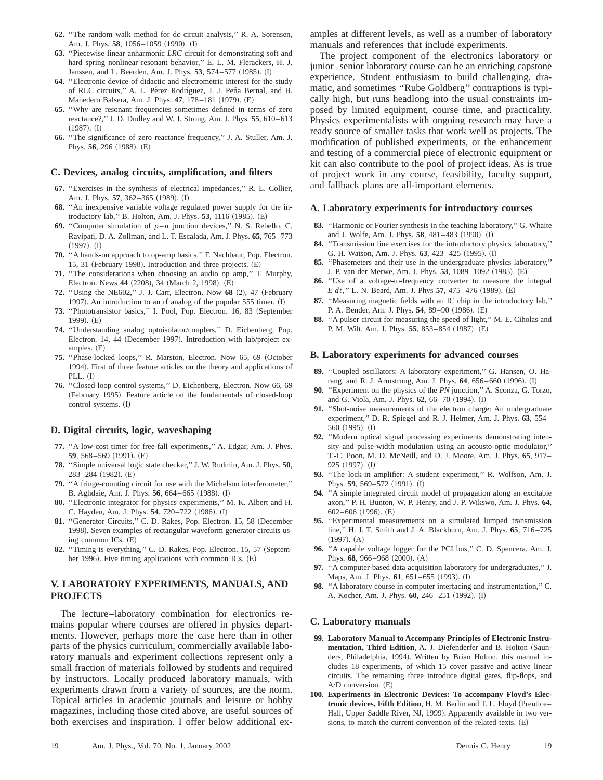- **62.** ''The random walk method for dc circuit analysis,'' R. A. Sorensen, Am. J. Phys. 58, 1056-1059 (1990). (I)
- **63.** ''Piecewise linear anharmonic *LRC* circuit for demonstrating soft and hard spring nonlinear resonant behavior,'' E. L. M. Flerackers, H. J. Janssen, and L. Beerden, Am. J. Phys. 53, 574–577 (1985). (I)
- **64.** ''Electronic device of didactic and electrometric interest for the study of RLC circuits," A. L. Pérez Rodríguez, J. J. Peña Bernal, and B. Mahedero Balsera, Am. J. Phys. 47, 178–181 (1979). (E)
- **65.** ''Why are resonant frequencies sometimes defined in terms of zero reactance?,'' J. D. Dudley and W. J. Strong, Am. J. Phys. **55**, 610–613  $(1987)$ .  $(I)$
- **66.** ''The significance of zero reactance frequency,'' J. A. Stuller, Am. J. Phys. 56, 296 (1988). (E)

#### **C. Devices, analog circuits, amplification, and filters**

- **67.** ''Exercises in the synthesis of electrical impedances,'' R. L. Collier, Am. J. Phys. **57**, 362–365 (1989). (I)
- **68.** ''An inexpensive variable voltage regulated power supply for the introductory lab," B. Holton, Am. J. Phys. 53, 1116 (1985). (E)
- **69.** "Computer simulation of  $p n$  junction devices," N. S. Rebello, C. Ravipati, D. A. Zollman, and L. T. Escalada, Am. J. Phys. **65**, 765–773  $(1997)$ .  $(I)$
- **70.** ''A hands-on approach to op-amp basics,'' F. Nachbaur, Pop. Electron. 15, 31 (February 1998). Introduction and three projects.  $(E)$
- **71.** ''The considerations when choosing an audio op amp,'' T. Murphy, Electron. News 44 (2208), 34 (March 2, 1998). (E)
- **72.** "Using the NE602," J. J. Carr, Electron. Now 68 (2), 47 (February 1997). An introduction to an rf analog of the popular  $555$  timer.  $(I)$
- 73. "Phototransistor basics," I. Pool, Pop. Electron. 16, 83 (September  $1999$ .  $(E)$
- **74.** ''Understanding analog optoisolator/couplers,'' D. Eichenberg, Pop. Electron. 14, 44 (December 1997). Introduction with lab/project examples.  $(E)$
- 75. "Phase-locked loops," R. Marston, Electron. Now 65, 69 (October 1994). First of three feature articles on the theory and applications of  $PLL.$   $(I)$
- **76.** ''Closed-loop control systems,'' D. Eichenberg, Electron. Now 66, 69 (February 1995). Feature article on the fundamentals of closed-loop control systems. (I)

#### **D. Digital circuits, logic, waveshaping**

- **77.** ''A low-cost timer for free-fall experiments,'' A. Edgar, Am. J. Phys. **59**, 568-569 (1991). (E)
- **78.** ''Simple universal logic state checker,'' J. W. Rudmin, Am. J. Phys. **50**, 283-284 (1982). (E)
- **79.** ''A fringe-counting circuit for use with the Michelson interferometer,'' B. Aghdaie, Am. J. Phys. 56, 664-665 (1988). (I)
- **80.** ''Electronic integrator for physics experiments,'' M. K. Albert and H. C. Hayden, Am. J. Phys. **54**, 720–722 (1986). (I)
- 81. "Generator Circuits," C. D. Rakes, Pop. Electron. 15, 58 (December 1998). Seven examples of rectangular waveform generator circuits using common ICs. (E)
- **82.** "Timing is everything," C. D. Rakes, Pop. Electron. 15, 57 (September 1996). Five timing applications with common ICs. (E)

# **V. LABORATORY EXPERIMENTS, MANUALS, AND PROJECTS**

The lecture–laboratory combination for electronics remains popular where courses are offered in physics departments. However, perhaps more the case here than in other parts of the physics curriculum, commercially available laboratory manuals and experiment collections represent only a small fraction of materials followed by students and required by instructors. Locally produced laboratory manuals, with experiments drawn from a variety of sources, are the norm. Topical articles in academic journals and leisure or hobby magazines, including those cited above, are useful sources of both exercises and inspiration. I offer below additional examples at different levels, as well as a number of laboratory manuals and references that include experiments.

The project component of the electronics laboratory or junior–senior laboratory course can be an enriching capstone experience. Student enthusiasm to build challenging, dramatic, and sometimes "Rube Goldberg" contraptions is typically high, but runs headlong into the usual constraints imposed by limited equipment, course time, and practicality. Physics experimentalists with ongoing research may have a ready source of smaller tasks that work well as projects. The modification of published experiments, or the enhancement and testing of a commercial piece of electronic equipment or kit can also contribute to the pool of project ideas. As is true of project work in any course, feasibility, faculty support, and fallback plans are all-important elements.

#### **A. Laboratory experiments for introductory courses**

- **83.** ''Harmonic or Fourier synthesis in the teaching laboratory,'' G. Whaite and J. Wolfe, Am. J. Phys. 58, 481-483 (1990). (I)
- **84.** ''Transmission line exercises for the introductory physics laboratory,'' G. H. Watson, Am. J. Phys. 63, 423-425 (1995). (I)
- **85.** ''Phasemeters and their use in the undergraduate physics laboratory,'' J. P. van der Merwe, Am. J. Phys. 53, 1089-1092 (1985). (E)
- **86.** ''Use of a voltage-to-frequency converter to measure the integral *E dt*," L. N. Beard, Am. J. Phys 57, 475-476 (1989). (E)
- **87.** ''Measuring magnetic fields with an IC chip in the introductory lab,'' P. A. Bender, Am. J. Phys. **54**, 89–90 (1986). (E)
- **88.** ''A pulser circuit for measuring the speed of light,'' M. E. Ciholas and P. M. Wilt, Am. J. Phys. 55, 853-854 (1987). (E)

#### **B. Laboratory experiments for advanced courses**

- **89.** ''Coupled oscillators: A laboratory experiment,'' G. Hansen, O. Harang, and R. J. Armstrong, Am. J. Phys. **64**, 656–660 (1996). (I)
- **90.** ''Experiment on the physics of the *PN* junction,'' A. Sconza, G. Torzo, and G. Viola, Am. J. Phys. 62, 66-70 (1994). (I)
- **91.** ''Shot-noise measurements of the electron charge: An undergraduate experiment,'' D. R. Spiegel and R. J. Helmer, Am. J. Phys. **63**, 554–  $560$  (1995). (I)
- **92.** ''Modern optical signal processing experiments demonstrating intensity and pulse-width modulation using an acousto-optic modulator,'' T.-C. Poon, M. D. McNeill, and D. J. Moore, Am. J. Phys. **65**, 917–  $925$   $(1997)$ .  $(I)$
- **93.** ''The lock-in amplifier: A student experiment,'' R. Wolfson, Am. J. Phys. 59, 569-572 (1991). (I)
- **94.** ''A simple integrated circuit model of propagation along an excitable axon,'' P. H. Bunton, W. P. Henry, and J. P. Wikswo, Am. J. Phys. **64**,  $602-606$   $(1996)$ .  $(E)$
- **95.** ''Experimental measurements on a simulated lumped transmission line,'' H. J. T. Smith and J. A. Blackburn, Am. J. Phys. **65**, 716–725  $(1997)$ .  $(A)$
- **96.** ''A capable voltage logger for the PCI bus,'' C. D. Spencera, Am. J. Phys. 68, 966-968 (2000). (A)
- **97.** ''A computer-based data acquisition laboratory for undergraduates,'' J. Maps, Am. J. Phys. 61, 651–655 (1993). (I)
- **98.** ''A laboratory course in computer interfacing and instrumentation,'' C. A. Kocher, Am. J. Phys. 60, 246-251 (1992). (I)

#### **C. Laboratory manuals**

- **99. Laboratory Manual to Accompany Principles of Electronic Instrumentation, Third Edition**, A. J. Diefenderfer and B. Holton (Saunders, Philadelphia, 1994). Written by Brian Holton, this manual includes 18 experiments, of which 15 cover passive and active linear circuits. The remaining three introduce digital gates, flip-flops, and  $A/D$  conversion.  $(E)$
- **100. Experiments in Electronic Devices: To accompany Floyd's Elec**tronic devices, Fifth Edition, H. M. Berlin and T. L. Floyd (Prentice– Hall, Upper Saddle River, NJ, 1999). Apparently available in two versions, to match the current convention of the related texts.  $(E)$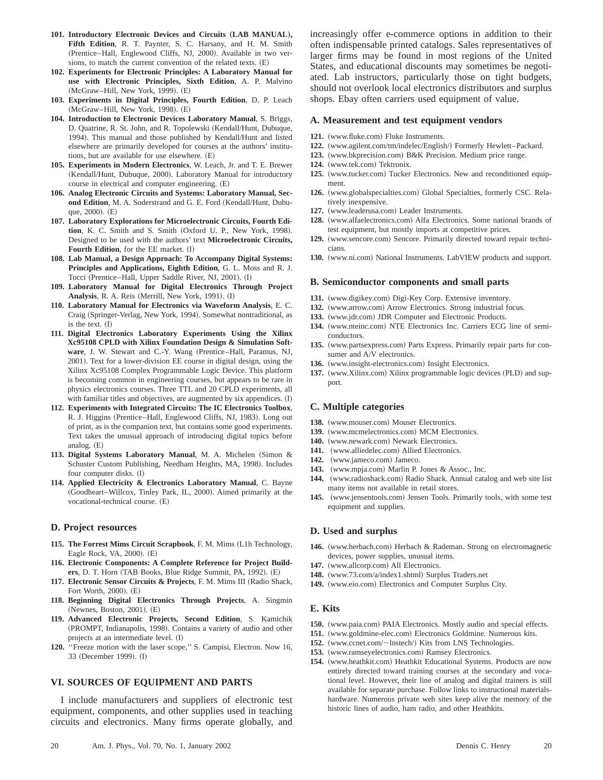- 101. Introductory Electronic Devices and Circuits (LAB MANUAL), **Fifth Edition**, R. T. Paynter, S. C. Harsany, and H. M. Smith (Prentice–Hall, Englewood Cliffs, NJ, 2000). Available in two versions, to match the current convention of the related texts.  $(E)$
- **102. Experiments for Electronic Principles: A Laboratory Manual for use with Electronic Principles, Sixth Edition**, A. P. Malvino (McGraw-Hill, New York, 1999). (E)
- **103. Experiments in Digital Principles, Fourth Edition**, D. P. Leach (McGraw-Hill, New York, 1998). (E)
- **104. Introduction to Electronic Devices Laboratory Manual**, S. Briggs, D. Quatrine, R. St. John, and R. Topolewski (Kendall/Hunt, Dubuque, 1994). This manual and those published by Kendall/Hunt and listed elsewhere are primarily developed for courses at the authors' institutions, but are available for use elsewhere.  $(E)$
- **105. Experiments in Modern Electronics**, W. Leach, Jr. and T. E. Brewer (Kendall/Hunt, Dubuque, 2000). Laboratory Manual for introductory course in electrical and computer engineering. (E)
- **106. Analog Electronic Circuits and Systems: Laboratory Manual, Sec**ond Edition, M. A. Soderstrand and G. E. Ford (Kendall/Hunt, Dubuque, 2000). (E)
- **107. Laboratory Explorations for Microelectronic Circuits, Fourth Edi**tion, K. C. Smith and S. Smith (Oxford U. P., New York, 1998). Designed to be used with the authors' text **Microelectronic Circuits, Fourth Edition**, for the EE market. (I)
- **108. Lab Manual, a Design Approach: To Accompany Digital Systems: Principles and Applications, Eighth Edition**, G. L. Moss and R. J. Tocci (Prentice–Hall, Upper Saddle River, NJ, 2001). (I)
- **109. Laboratory Manual for Digital Electronics Through Project** Analysis, R. A. Reis (Merrill, New York, 1991). (I)
- **110. Laboratory Manual for Electronics via Waveform Analysis**, E. C. Craig (Springer-Verlag, New York, 1994). Somewhat nontraditional, as is the text.  $(I)$
- **111. Digital Electronics Laboratory Experiments Using the Xilinx Xc95108 CPLD with Xilinx Foundation Design & Simulation Soft**ware, J. W. Stewart and C.-Y. Wang (Prentice–Hall, Paramus, NJ, 2001). Text for a lower-division EE course in digital design, using the Xilinx Xc95108 Complex Programmable Logic Device. This platform is becoming common in engineering courses, but appears to be rare in physics electronics courses. Three TTL and 20 CPLD experiments, all with familiar titles and objectives, are augmented by six appendices.  $(I)$
- **112. Experiments with Integrated Circuits: The IC Electronics Toolbox**, R. J. Higgins (Prentice–Hall, Englewood Cliffs, NJ, 1983). Long out of print, as is the companion text, but contains some good experiments. Text takes the unusual approach of introducing digital topics before analog.  $(E)$
- 113. Digital Systems Laboratory Manual, M. A. Michelen (Simon & Schuster Custom Publishing, Needham Heights, MA, 1998). Includes four computer disks.  $(I)$
- **114. Applied Electricity & Electronics Laboratory Manual**, C. Bayne (Goodheart–Willcox, Tinley Park, IL, 2000). Aimed primarily at the vocational-technical course. (E)

#### **D. Project resources**

- 115. The Forrest Mims Circuit Scrapbook, F. M. Mims (L1h Technology, Eagle Rock, VA, 2000). (E)
- **116. Electronic Components: A Complete Reference for Project Build**ers, D. T. Horn (TAB Books, Blue Ridge Summit, PA, 1992). (E)
- 117. Electronic Sensor Circuits & Projects, F. M. Mims III (Radio Shack, Fort Worth, 2000). (E)
- **118. Beginning Digital Electronics Through Projects**, A. Singmin (Newnes, Boston, 2001). (E)
- **119. Advanced Electronic Projects, Second Edition**, S. Kamichik (PROMPT, Indianapolis, 1998). Contains a variety of audio and other projects at an intermediate level. (I)
- 120. "Freeze motion with the laser scope," S. Campisi, Electron. Now 16, 33 (December 1999). (I)

## **VI. SOURCES OF EQUIPMENT AND PARTS**

I include manufacturers and suppliers of electronic test equipment, components, and other supplies used in teaching circuits and electronics. Many firms operate globally, and increasingly offer e-commerce options in addition to their often indispensable printed catalogs. Sales representatives of larger firms may be found in most regions of the United States, and educational discounts may sometimes be negotiated. Lab instructors, particularly those on tight budgets, should not overlook local electronics distributors and surplus shops. Ebay often carriers used equipment of value.

#### **A. Measurement and test equipment vendors**

- 121. (www.fluke.com) Fluke Instruments.
- 122. (www.agilent.com/tm/indelec/English/) Formerly Hewlett–Packard.
- 123. (www.bkprecision.com) B&K Precision. Medium price range.
- 124. (www.tek.com) Tektronix.
- 125. (www.tucker.com) Tucker Electronics. New and reconditioned equipment.
- 126. (www.globalspecialties.com) Global Specialties, formerly CSC. Relatively inexpensive.
- 127. (www.leaderusa.com) Leader Instruments.
- 128. (www.alfaelectronics.com) Alfa Electronics. Some national brands of test equipment, but mostly imports at competitive prices.
- 129. (www.sencore.com) Sencore. Primarily directed toward repair technicians.
- 130. (www.ni.com) National Instruments. LabVIEW products and support.

#### **B. Semiconductor components and small parts**

- 131. (www.digikey.com) Digi-Key Corp. Extensive inventory.
- 132. (www.arrow.com) Arrow Electronics. Strong industrial focus.
- 133. (www.jdr.com) JDR Computer and Electronic Products.
- 134. (www.nteinc.com) NTE Electronics Inc. Carriers ECG line of semiconductors.
- 135. (www.partsexpress.com) Parts Express. Primarily repair parts for consumer and A/V electronics.
- 136. (www.insight-electronics.com) Insight Electronics.
- 137. (www.Xilinx.com) Xilinx programmable logic devices (PLD) and support.

#### **C. Multiple categories**

- 138. (www.mouser.com) Mouser Electronics.
- 139. (www.mcmelectronics.com) MCM Electronics.
- 140. (www.newark.com) Newark Electronics.
- 141. (www.alliedelec.com) Allied Electronics.
- 142. (www.jameco.com) Jameco.
- 143. (www.mpja.com) Marlin P. Jones & Assoc., Inc.
- 144. (www.radioshack.com) Radio Shack. Annual catalog and web site list many items not available in retail stores.
- 145. (www.jensentools.com) Jensen Tools. Primarily tools, with some test equipment and supplies.

## **D. Used and surplus**

- 146. (www.herbach.com) Herbach & Rademan. Strong on electromagnetic devices, power supplies, unusual items.
- 147. (www.allcorp.com) All Electronics.
- 148. (www.73.com/a/index1.shtml) Surplus Traders.net
- 149. (www.eio.com) Electronics and Computer Surplus City.

## **E. Kits**

- 150. (www.paia.com) PAIA Electronics. Mostly audio and special effects.
- 151. (www.goldmine-elec.com) Electronics Goldmine. Numerous kits.
- 152. (www.ccnet.com/~lnstech/) Kits from LNS Technologies.
- 153. (www.ramseyelectronics.com) Ramsey Electronics.
- 154. (www.heathkit.com) Heathkit Educational Systems. Products are now entirely directed toward training courses at the secondary and vocational level. However, their line of analog and digital trainers is still available for separate purchase. Follow links to instructional materialshardware. Numerous private web sites keep alive the memory of the historic lines of audio, ham radio, and other Heathkits.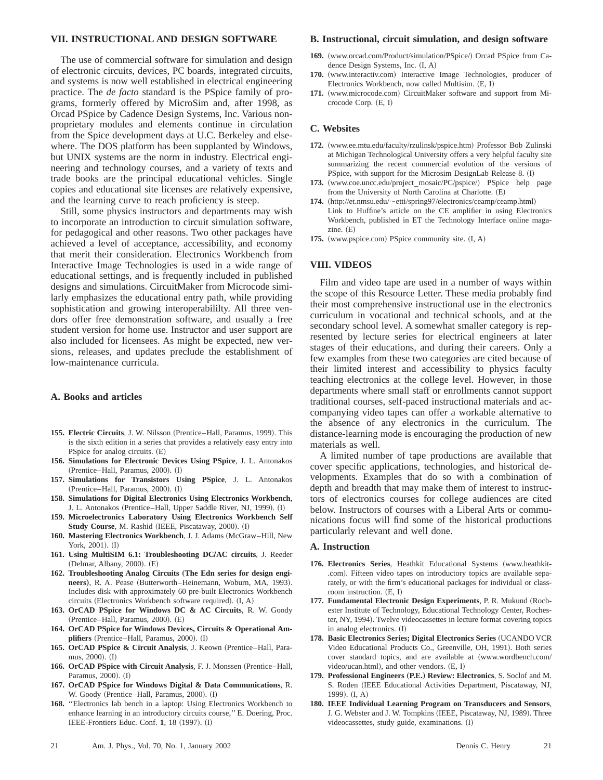#### **VII. INSTRUCTIONAL AND DESIGN SOFTWARE**

The use of commercial software for simulation and design of electronic circuits, devices, PC boards, integrated circuits, and systems is now well established in electrical engineering practice. The *de facto* standard is the PSpice family of programs, formerly offered by MicroSim and, after 1998, as Orcad PSpice by Cadence Design Systems, Inc. Various nonproprietary modules and elements continue in circulation from the Spice development days at U.C. Berkeley and elsewhere. The DOS platform has been supplanted by Windows, but UNIX systems are the norm in industry. Electrical engineering and technology courses, and a variety of texts and trade books are the principal educational vehicles. Single copies and educational site licenses are relatively expensive, and the learning curve to reach proficiency is steep.

Still, some physics instructors and departments may wish to incorporate an introduction to circuit simulation software, for pedagogical and other reasons. Two other packages have achieved a level of acceptance, accessibility, and economy that merit their consideration. Electronics Workbench from Interactive Image Technologies is used in a wide range of educational settings, and is frequently included in published designs and simulations. CircuitMaker from Microcode similarly emphasizes the educational entry path, while providing sophistication and growing interoperabililty. All three vendors offer free demonstration software, and usually a free student version for home use. Instructor and user support are also included for licensees. As might be expected, new versions, releases, and updates preclude the establishment of low-maintenance curricula.

#### **A. Books and articles**

- 155. Electric Circuits, J. W. Nilsson (Prentice–Hall, Paramus, 1999). This is the sixth edition in a series that provides a relatively easy entry into PSpice for analog circuits.  $(E)$
- **156. Simulations for Electronic Devices Using PSpice**, J. L. Antonakos (Prentice–Hall, Paramus, 2000). (I)
- **157. Simulations for Transistors Using PSpice**, J. L. Antonakos (Prentice–Hall, Paramus, 2000). (I)
- **158. Simulations for Digital Electronics Using Electronics Workbench**, J. L. Antonakos (Prentice–Hall, Upper Saddle River, NJ, 1999). (I)
- **159. Microelectronics Laboratory Using Electronics Workbench Self Study Course**, M. Rashid (IEEE, Piscataway, 2000). (I)
- 160. Mastering Electronics Workbench, J. J. Adams (McGraw–Hill, New York,  $2001$ .  $(I)$
- 161. Using MultiSIM 6.1: Troubleshooting DC/AC circuits, J. Reeder (Delmar, Albany, 2000). (E)
- 162. Troubleshooting Analog Circuits (The Edn series for design engineers), R. A. Pease (Butterworth–Heinemann, Woburn, MA, 1993). Includes disk with approximately 60 pre-built Electronics Workbench circuits (Electronics Workbench software required).  $(I, A)$
- **163. OrCAD PSpice for Windows DC & AC Circuits**, R. W. Goody (Prentice–Hall, Paramus, 2000). (E)
- **164. OrCAD PSpice for Windows Devices, Circuits & Operational Am**plifiers (Prentice–Hall, Paramus, 2000).  $(I)$
- 165. OrCAD PSpice & Circuit Analysis, J. Keown (Prentice–Hall, Paramus,  $2000$ .  $(I)$
- 166. OrCAD PSpice with Circuit Analysis, F. J. Monssen (Prentice–Hall, Paramus, 2000). (I)
- **167. OrCAD PSpice for Windows Digital & Data Communications**, R. W. Goody (Prentice–Hall, Paramus, 2000). (I)
- 168. "Electronics lab bench in a laptop: Using Electronics Workbench to enhance learning in an introductory circuits course,'' E. Doering, Proc. IEEE-Frontiers Educ. Conf. 1, 18 (1997). (I)

#### **B. Instructional, circuit simulation, and design software**

- 169. (www.orcad.com/Product/simulation/PSpice/) Orcad PSpice from Cadence Design Systems, Inc. (I, A)
- 170. (www.interactiv.com) Interactive Image Technologies, producer of Electronics Workbench, now called Multisim.  $(E, I)$
- 171. (www.microcode.com) CircuitMaker software and support from Mi $crocode Corp. (E, I)$

#### **C. Websites**

- 172. (www.ee.mtu.edu/faculty/rzulinsk/pspice.htm) Professor Bob Zulinski at Michigan Technological University offers a very helpful faculty site summarizing the recent commercial evolution of the versions of PSpice, with support for the Microsim DesignLab Release 8. (I)
- 173. (www.coe.uncc.edu/project\_mosaic/PC/pspice/) PSpice help page from the University of North Carolina at Charlotte. (E)
- 174. (http://et.nmsu.edu/~etti/spring97/electronics/ceamp/ceamp.html) Link to Huffine's article on the CE amplifier in using Electronics Workbench, published in ET the Technology Interface online maga $zine.$   $(E)$
- **175.** (www.pspice.com) PSpice community site.  $(I, A)$

### **VIII. VIDEOS**

Film and video tape are used in a number of ways within the scope of this Resource Letter. These media probably find their most comprehensive instructional use in the electronics curriculum in vocational and technical schools, and at the secondary school level. A somewhat smaller category is represented by lecture series for electrical engineers at later stages of their educations, and during their careers. Only a few examples from these two categories are cited because of their limited interest and accessibility to physics faculty teaching electronics at the college level. However, in those departments where small staff or enrollments cannot support traditional courses, self-paced instructional materials and accompanying video tapes can offer a workable alternative to the absence of any electronics in the curriculum. The distance-learning mode is encouraging the production of new materials as well.

A limited number of tape productions are available that cover specific applications, technologies, and historical developments. Examples that do so with a combination of depth and breadth that may make them of interest to instructors of electronics courses for college audiences are cited below. Instructors of courses with a Liberal Arts or communications focus will find some of the historical productions particularly relevant and well done.

## **A. Instruction**

- 176. Electronics Series, Heathkit Educational Systems (www.heathkit-.com). Fifteen video tapes on introductory topics are available separately, or with the firm's educational packages for individual or classroom instruction.  $(E, I)$
- 177. Fundamental Electronic Design Experiments, P. R. Mukund (Rochester Institute of Technology, Educational Technology Center, Rochester, NY, 1994). Twelve videocassettes in lecture format covering topics in analog electronics. (I)
- 178. Basic Electronics Series; Digital Electronics Series (UCANDO VCR Video Educational Products Co., Greenville, OH, 1991). Both series cover standard topics, and are available at (www.wordbench.com/ video/ucan.html), and other vendors.  $(E, I)$
- 179. Professional Engineers (P.E.) Review: Electronics, S. Soclof and M. S. Roden (IEEE Educational Activities Department, Piscataway, NJ, 1999).  $(I, A)$
- **180. IEEE Individual Learning Program on Transducers and Sensors**, J. G. Webster and J. W. Tompkins (IEEE, Piscataway, NJ, 1989). Three videocassettes, study guide, examinations.  $(I)$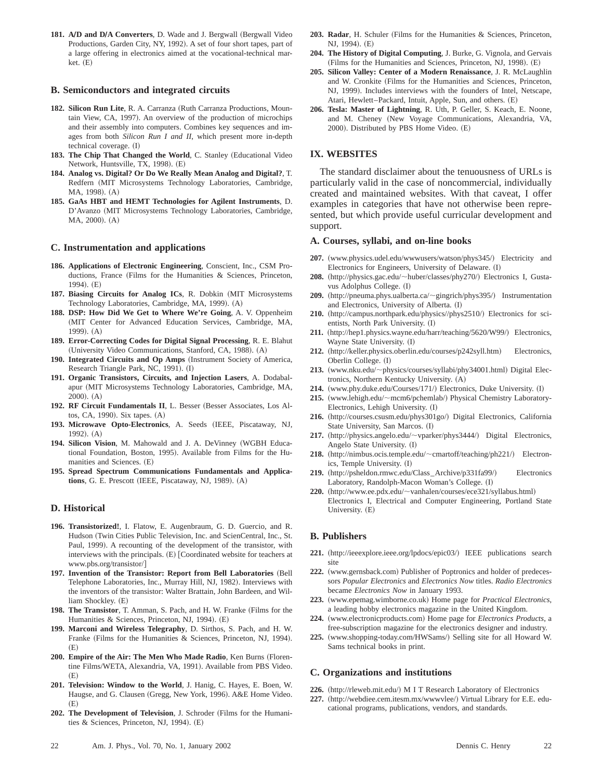**181. A/D and D/A Converters**, D. Wade and J. Bergwall (Bergwall Video) Productions, Garden City, NY, 1992). A set of four short tapes, part of a large offering in electronics aimed at the vocational-technical mar $ket (E)$ 

### **B. Semiconductors and integrated circuits**

- 182. Silicon Run Lite, R. A. Carranza (Ruth Carranza Productions, Mountain View, CA, 1997). An overview of the production of microchips and their assembly into computers. Combines key sequences and images from both *Silicon Run I and II*, which present more in-depth  $technical coverage. (I)$
- 183. The Chip That Changed the World, C. Stanley (Educational Video Network, Huntsville, TX, 1998). (E)
- **184. Analog vs. Digital? Or Do We Really Mean Analog and Digital?**, T. Redfern (MIT Microsystems Technology Laboratories, Cambridge, MA, 1998). (A)
- **185. GaAs HBT and HEMT Technologies for Agilent Instruments**, D. D'Avanzo (MIT Microsystems Technology Laboratories, Cambridge,  $MA, 2000$ .  $(A)$

### **C. Instrumentation and applications**

- **186. Applications of Electronic Engineering**, Conscient, Inc., CSM Productions, France (Films for the Humanities  $\&$  Sciences, Princeton,  $1994)$  (E)
- 187. Biasing Circuits for Analog ICs, R. Dobkin (MIT Microsystems Technology Laboratories, Cambridge, MA, 1999). (A)
- **188. DSP: How Did We Get to Where We're Going**, A. V. Oppenheim (MIT Center for Advanced Education Services, Cambridge, MA,  $1999$ .  $(A)$
- **189. Error-Correcting Codes for Digital Signal Processing**, R. E. Blahut (University Video Communications, Stanford, CA, 1988). (A)
- 190. Integrated Circuits and Op Amps (Instrument Society of America, Research Triangle Park, NC, 1991). (I)
- **191. Organic Transistors, Circuits, and Injection Lasers**, A. Dodabalapur (MIT Microsystems Technology Laboratories, Cambridge, MA,  $2000$ .  $(A)$
- 192. RF Circuit Fundamentals II, L. Besser (Besser Associates, Los Altos, CA, 1990). Six tapes. (A)
- 193. Microwave Opto-Electronics, A. Seeds (IEEE, Piscataway, NJ,  $1992$ .  $(A)$
- 194. Silicon Vision, M. Mahowald and J. A. DeVinney (WGBH Educational Foundation, Boston, 1995). Available from Films for the Humanities and Sciences. (E)
- **195. Spread Spectrum Communications Fundamentals and Applica**tions, G. E. Prescott (IEEE, Piscataway, NJ, 1989). (A)

#### **D. Historical**

- **196. Transistorized!**, I. Flatow, E. Augenbraum, G. D. Guercio, and R. Hudson (Twin Cities Public Television, Inc. and ScienCentral, Inc., St. Paul, 1999). A recounting of the development of the transistor, with interviews with the principals.  $(E)$  [Coordinated website for teachers at www.pbs.org/transistor/#
- 197. Invention of the Transistor: Report from Bell Laboratories (Bell Telephone Laboratories, Inc., Murray Hill, NJ, 1982). Interviews with the inventors of the transistor: Walter Brattain, John Bardeen, and William Shockley. (E)
- 198. The Transistor, T. Amman, S. Pach, and H. W. Franke (Films for the Humanities  $& Sciences, Princeton, NJ, 1994).$  (E)
- **199. Marconi and Wireless Telegraphy**, D. Sirthos, S. Pach, and H. W. Franke (Films for the Humanities & Sciences, Princeton, NJ, 1994).  $(E)$
- 200. Empire of the Air: The Men Who Made Radio, Ken Burns (Florentine Films/WETA, Alexandria, VA, 1991). Available from PBS Video.  $(E)$
- **201. Television: Window to the World**, J. Hanig, C. Hayes, E. Boen, W. Haugse, and G. Clausen (Gregg, New York, 1996). A&E Home Video.  $(E)$
- 202. The Development of Television, J. Schroder (Films for the Humanities & Sciences, Princeton, NJ, 1994).  $(E)$
- **203. Radar**, H. Schuler (Films for the Humanities & Sciences, Princeton, NJ, 1994). (E)
- **204. The History of Digital Computing**, J. Burke, G. Vignola, and Gervais (Films for the Humanities and Sciences, Princeton, NJ, 1998). (E)
- **205. Silicon Valley: Center of a Modern Renaissance**, J. R. McLaughlin and W. Cronkite (Films for the Humanities and Sciences, Princeton, NJ, 1999). Includes interviews with the founders of Intel, Netscape, Atari, Hewlett–Packard, Intuit, Apple, Sun, and others. (E)
- **206. Tesla: Master of Lightning**, R. Uth, P. Geller, S. Keach, E. Noone, and M. Cheney (New Voyage Communications, Alexandria, VA, 2000). Distributed by PBS Home Video. (E)

# **IX. WEBSITES**

The standard disclaimer about the tenuousness of URLs is particularly valid in the case of noncommercial, individually created and maintained websites. With that caveat, I offer examples in categories that have not otherwise been represented, but which provide useful curricular development and support.

#### **A. Courses, syllabi, and on-line books**

- 207. (www.physics.udel.edu/wwwusers/watson/phys345/) Electricity and Electronics for Engineers, University of Delaware. (I)
- **208.** (http://physics.gac.edu/~huber/classes/phy270/) Electronics I, Gustavus Adolphus College. (I)
- **209.** (http://pneuma.phys.ualberta.ca/~gingrich/phys395/) Instrumentation and Electronics, University of Alberta. (I)
- 210. (http://campus.northpark.edu/physics//phys2510/) Electronics for scientists, North Park University. (I)
- **211.** (http://hep1.physics.wayne.edu/harr/teaching/5620/W99/) Electronics, Wayne State University. (I)
- 212. (http://keller.physics.oberlin.edu/courses/p242syll.htm) Electronics, Oberlin College. (I)
- 213. (www.nku.edu/~physics/courses/syllabi/phy34001.html) Digital Electronics, Northern Kentucky University. (A)
- 214. (www.phy.duke.edu/Courses/171/) Electronics, Duke University. (I)
- **215.** (www.lehigh.edu/~mcm6/pchemlab/) Physical Chemistry Laboratory-Electronics, Lehigh University. (I)
- 216. (http://courses.csusm.edu/phys301go/) Digital Electronics, California State University, San Marcos. (I)
- 217. (http://physics.angelo.edu/~vparker/phys3444/) Digital Electronics, Angelo State University. (I)
- **218.** (http://nimbus.ocis.temple.edu/~cmartoff/teaching/ph221/) Electronics, Temple University. (I)
- **219.** (http://psheldon.rmwc.edu/Class\_Archive/p331fa99/) Electronics Laboratory, Randolph-Macon Woman's College. (I)
- 220. (http://www.ee.pdx.edu/~vanhalen/courses/ece321/syllabus.html) Electronics I, Electrical and Computer Engineering, Portland State University. (E)

## **B. Publishers**

- 221. (http://ieeexplore.ieee.org/lpdocs/epic03/) IEEE publications search site
- **222.** (www.gernsback.com) Publisher of Poptronics and holder of predecessors *Popular Electronics* and *Electronics Now* titles. *Radio Electronics* became *Electronics Now* in January 1993.
- 223. (www.epemag.wimborne.co.uk) Home page for *Practical Electronics*, a leading hobby electronics magazine in the United Kingdom.
- 224. (www.electronicproducts.com) Home page for *Electronics Products*, a free-subscription magazine for the electronics designer and industry.
- 225. (www.shopping-today.com/HWSams/) Selling site for all Howard W. Sams technical books in print.

#### **C. Organizations and institutions**

- 226. (http://rleweb.mit.edu/) M I T Research Laboratory of Electronics
- 227. (http://webdiee.cem.itesm.mx/wwwvlee/) Virtual Library for E.E. educational programs, publications, vendors, and standards.